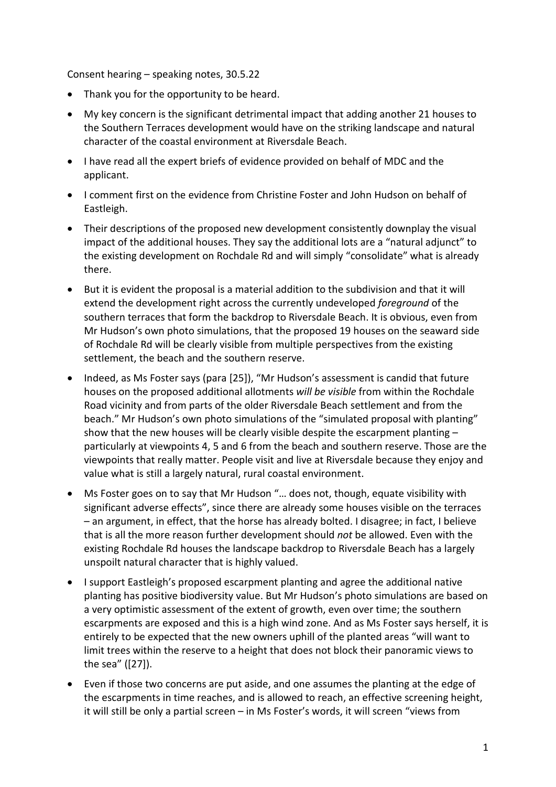Consent hearing – speaking notes, 30.5.22

- Thank you for the opportunity to be heard.
- My key concern is the significant detrimental impact that adding another 21 houses to the Southern Terraces development would have on the striking landscape and natural character of the coastal environment at Riversdale Beach.
- I have read all the expert briefs of evidence provided on behalf of MDC and the applicant.
- I comment first on the evidence from Christine Foster and John Hudson on behalf of Eastleigh.
- Their descriptions of the proposed new development consistently downplay the visual impact of the additional houses. They say the additional lots are a "natural adjunct" to the existing development on Rochdale Rd and will simply "consolidate" what is already there.
- But it is evident the proposal is a material addition to the subdivision and that it will extend the development right across the currently undeveloped *foreground* of the southern terraces that form the backdrop to Riversdale Beach. It is obvious, even from Mr Hudson's own photo simulations, that the proposed 19 houses on the seaward side of Rochdale Rd will be clearly visible from multiple perspectives from the existing settlement, the beach and the southern reserve.
- Indeed, as Ms Foster says (para [25]), "Mr Hudson's assessment is candid that future houses on the proposed additional allotments *will be visible* from within the Rochdale Road vicinity and from parts of the older Riversdale Beach settlement and from the beach." Mr Hudson's own photo simulations of the "simulated proposal with planting" show that the new houses will be clearly visible despite the escarpment planting – particularly at viewpoints 4, 5 and 6 from the beach and southern reserve. Those are the viewpoints that really matter. People visit and live at Riversdale because they enjoy and value what is still a largely natural, rural coastal environment.
- Ms Foster goes on to say that Mr Hudson "… does not, though, equate visibility with significant adverse effects", since there are already some houses visible on the terraces – an argument, in effect, that the horse has already bolted. I disagree; in fact, I believe that is all the more reason further development should *not* be allowed. Even with the existing Rochdale Rd houses the landscape backdrop to Riversdale Beach has a largely unspoilt natural character that is highly valued.
- I support Eastleigh's proposed escarpment planting and agree the additional native planting has positive biodiversity value. But Mr Hudson's photo simulations are based on a very optimistic assessment of the extent of growth, even over time; the southern escarpments are exposed and this is a high wind zone. And as Ms Foster says herself, it is entirely to be expected that the new owners uphill of the planted areas "will want to limit trees within the reserve to a height that does not block their panoramic views to the sea" ([27]).
- Even if those two concerns are put aside, and one assumes the planting at the edge of the escarpments in time reaches, and is allowed to reach, an effective screening height, it will still be only a partial screen – in Ms Foster's words, it will screen "views from